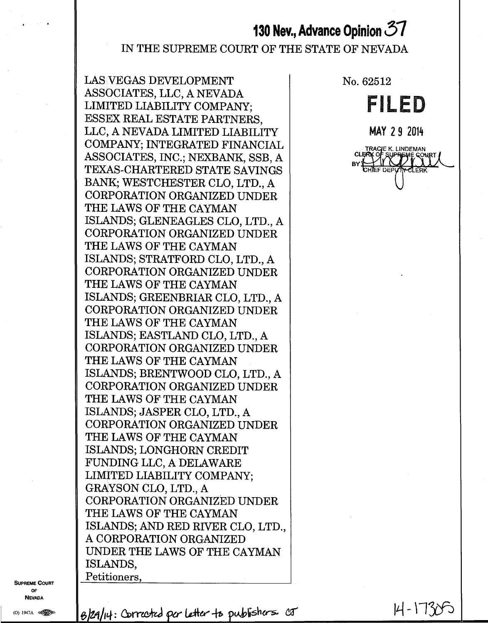# **130 Nev., Advance Opinion 57**

### IN THE SUPREME COURT OF THE STATE OF NEVADA

LAS VEGAS DEVELOPMENT ASSOCIATES, LLC, A NEVADA LIMITED LIABILITY COMPANY; ESSEX REAL ESTATE PARTNERS, LLC, A NEVADA LIMITED LIABILITY COMPANY; INTEGRATED FINANCIAL ASSOCIATES, INC.; NEXBANK, SSB, A TEXAS-CHARTERED STATE SAVINGS BANK; WESTCHESTER CLO, LTD., A CORPORATION ORGANIZED UNDER THE LAWS OF THE CAYMAN ISLANDS; GLENEAGLES CLO, LTD., A CORPORATION ORGANIZED UNDER THE LAWS OF THE CAYMAN ISLANDS; STRATFORD CLO, LTD., A CORPORATION ORGANIZED UNDER THE LAWS OF THE CAYMAN ISLANDS; GREENBRIAR CLO, LTD., A CORPORATION ORGANIZED UNDER THE LAWS OF THE CAYMAN ISLANDS; EASTLAND CLO, LTD., A CORPORATION ORGANIZED UNDER THE LAWS OF THE CAYMAN ISLANDS; BRENTWOOD CLO, LTD., A CORPORATION ORGANIZED UNDER THE LAWS OF THE CAYMAN ISLANDS; JASPER CLO, LTD., A CORPORATION ORGANIZED UNDER THE LAWS OF THE CAYMAN ISLANDS; LONGHORN CREDIT FUNDING LLC, A DELAWARE LIMITED LIABILITY COMPANY; GRAYSON CLO, LTD., A CORPORATION ORGANIZED UNDER THE LAWS OF THE CAYMAN ISLANDS; AND RED RIVER CLO, LTD. A CORPORATION ORGANIZED UNDER THE LAWS OF THE CAYMAN ISLANDS, Petitioners,

No. 62512

**FILED** 

**MAY 29 2014** 



**SUPREME COURT** OF **NEVADA** 

(O) 1947A (

 $B$ l29/14: Corrected per letter to publishers  $c\sigma$  14 - 1738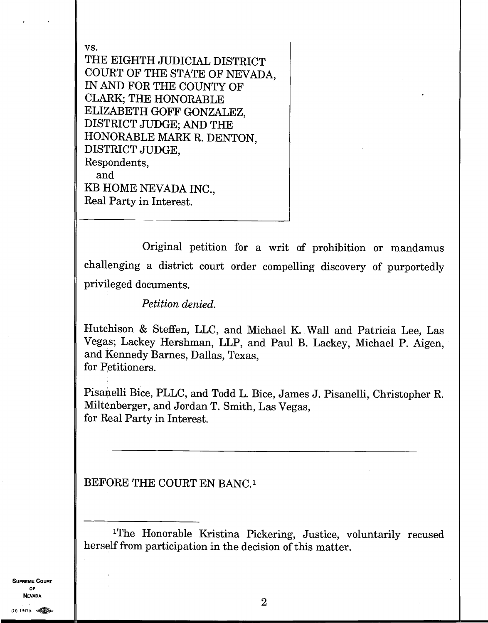vs. THE EIGHTH JUDICIAL DISTRICT COURT OF THE STATE OF NEVADA, IN AND FOR THE COUNTY OF CLARK; THE HONORABLE ELIZABETH GOFF GONZALEZ, DISTRICT JUDGE; AND THE HONORABLE MARK R. DENTON, DISTRICT JUDGE, Respondents, and KB HOME NEVADA INC., Real Party in Interest.

Original petition for a writ of prohibition or mandamus challenging a district court order compelling discovery of purportedly privileged documents.

*Petition denied.* 

Hutchison & Steffen, LLC, and Michael K. Wall and Patricia Lee, Las Vegas; Lackey Hershman, LLP, and Paul B. Lackey, Michael P. Aigen, and Kennedy Barnes, Dallas, Texas, for Petitioners.

Pisanelli Bice, PLLC, and Todd L. Bice, James J. Pisanelli, Christopher R. Miltenberger, and Jordan T. Smith, Las Vegas, for Real Party in Interest.

BEFORE THE COURT EN BANC.<sup>1</sup>

**SUPREME COURT** OF **NEVADA** 

<sup>&</sup>quot;The Honorable Kristina Pickering, Justice, voluntarily recused herself from participation in the decision of this matter.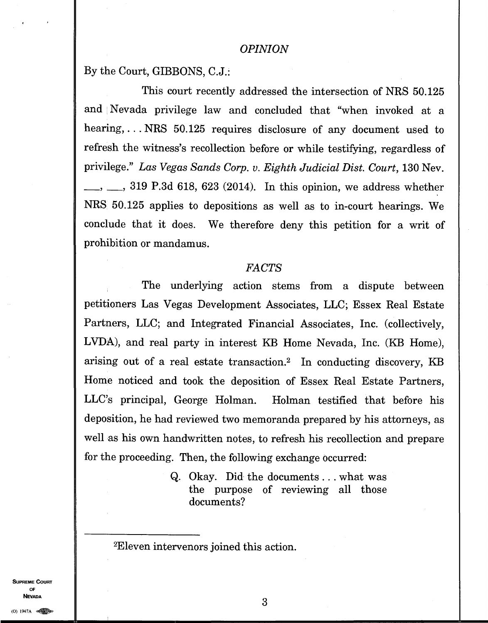By the Court, GIBBONS, C.J.:

This court recently addressed the intersection of NRS 50.125 and Nevada privilege law and concluded that "when invoked at a hearing,. . . NRS 50.125 requires disclosure of any document used to refresh the witness's recollection before or while testifying, regardless of privilege." *Las Vegas Sands Corp. v. Eighth Judicial Dist. Court,* 130 Nev. , 319 P.3d 618, 623 (2014). In this opinion, we address whether NRS 50.125 applies to depositions as well as to in-court hearings. We conclude that it does. We therefore deny this petition for a writ of prohibition or mandamus.

#### *FACTS*

The underlying action stems from a dispute between petitioners Las Vegas Development Associates, LLC; Essex Real Estate Partners, LLC; and Integrated Financial Associates, Inc. (collectively, LVDA), and real party in interest KB Home Nevada, Inc. (KB Home), arising out of a real estate transaction.<sup>2</sup> In conducting discovery, KB Home noticed and took the deposition of Essex Real Estate Partners, LLC's principal, George Holman. Holman testified that before his deposition, he had reviewed two memoranda prepared by his attorneys, as well as his own handwritten notes, to refresh his recollection and prepare for the proceeding. Then, the following exchange occurred:

> Q. Okay. Did the documents . . . what was the purpose of reviewing all those documents?

<sup>2</sup>Eleven intervenors joined this action.

**SUPREME COURT OF NEVADA**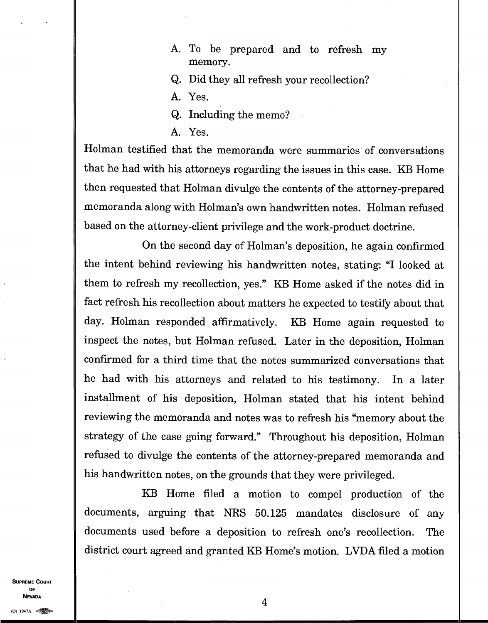- A. To be prepared and to refresh my memory.
- Q. Did they all refresh your recollection?

A. Yes.

- Q. Including the memo?
- A. Yes.

Holman testified that the memoranda were summaries of conversations that he had with his attorneys regarding the issues in this case. KB Home then requested that Holman divulge the contents of the attorney-prepared memoranda along with Holman's own handwritten notes. Holman refused based on the attorney-client privilege and the work-product doctrine.

On the second day of Holman's deposition, he again confirmed the intent behind reviewing his handwritten notes, stating: "I looked at them to refresh my recollection, yes." KB Home asked if the notes did in fact refresh his recollection about matters he expected to testify about that day. Holman responded affirmatively. KB Home again requested to inspect the notes, but Holman refused. Later in the deposition, Holman confirmed for a third time that the notes summarized conversations that he had with his attorneys and related to his testimony. In a later installment of his deposition, Holman stated that his intent behind reviewing the memoranda and notes was to refresh his "memory about the strategy of the case going forward." Throughout his deposition, Holman refused to divulge the contents of the attorney-prepared memoranda and his handwritten notes, on the grounds that they were privileged.

KB Home filed a motion to compel production of the documents, arguing that NRS 50.125 mandates disclosure of any documents used before a deposition to refresh one's recollection. The district court agreed and granted KB Home's motion. LVDA filed a motion

**SUPREME COURT OF NEVADA**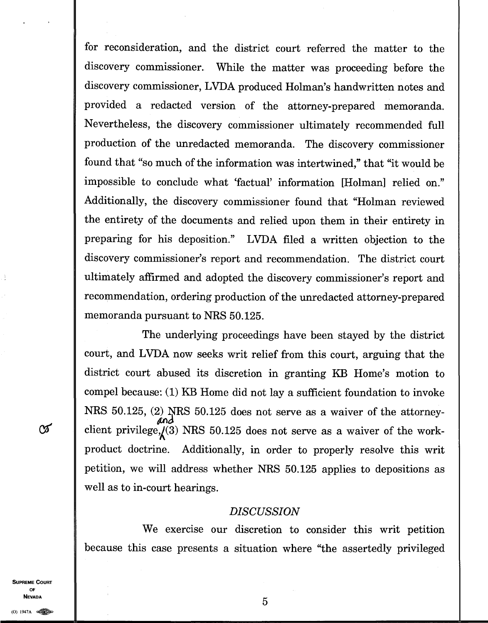for reconsideration, and the district court referred the matter to the discovery commissioner. While the matter was proceeding before the discovery commissioner, LVDA produced Holman's handwritten notes and provided a redacted version of the attorney-prepared memoranda. Nevertheless, the discovery commissioner ultimately recommended full production of the unredacted memoranda. The discovery commissioner found that "so much of the information was intertwined," that "it would be impossible to conclude what 'factual' information [Holman] relied on." Additionally, the discovery commissioner found that "Holman reviewed the entirety of the documents and relied upon them in their entirety in preparing for his deposition." LVDA filed a written objection to the discovery commissioner's report and recommendation. The district court ultimately affirmed and adopted the discovery commissioner's report and recommendation, ordering production of the unredacted attorney-prepared memoranda pursuant to NRS 50.125.

The underlying proceedings have been stayed by the district court, and LVDA now seeks writ relief from this court, arguing that the district court abused its discretion in granting KB Home's motion to compel because: (1) KB Home did not lay a sufficient foundation to invoke NRS 50.125, (2) NRS 50.125 does not serve as a waiver of the attorney $and$ client privilege, $\zeta(3)$  NRS 50.125 does not serve as a waiver of the workproduct doctrine. Additionally, in order to properly resolve this writ petition, we will address whether NRS 50.125 applies to depositions as well as to in-court hearings.

#### *DISCUSSION*

We exercise our discretion to consider this writ petition because this case presents a situation where "the assertedly privileged

**SUPREME COURT OF NEVADA** 5

 $\infty$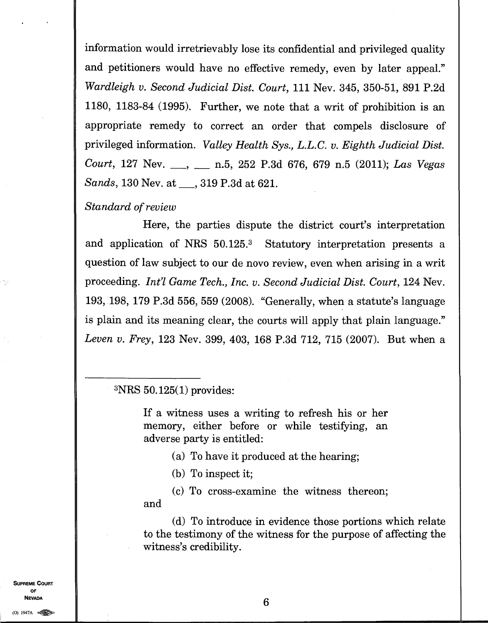information would irretrievably lose its confidential and privileged quality and petitioners would have no effective remedy, even by later appeal." *Wardleigh v. Second Judicial Dist. Court,* 111 Nev. 345, 350-51, 891 P.2d 1180, 1183-84 (1995). Further, we note that a writ of prohibition is an appropriate remedy to correct an order that compels disclosure of privileged information. *Valley Health Sys., L.L.C. v. Eighth Judicial Dist. Court, 127 Nev.* , , , n.5, 252 P.3d 676, 679 n.5 (2011); *Las Vegas Sands*, 130 Nev. at <sub>1</sub>, 319 P.3d at 621.

#### *Standard of review*

Here, the parties dispute the district court's interpretation and application of NRS 50.125.<sup>3</sup> Statutory interpretation presents a question of law subject to our de novo review, even when arising in a writ proceeding. *Int'l Game Tech., Inc. v. Second Judicial Dist. Court,* 124 Nev. 193, 198, 179 P.3d 556, 559 (2008). "Generally, when a statute's language is plain and its meaning clear, the courts will apply that plain language." *Leven v. Frey,* 123 Nev. 399, 403, 168 P.3d 712, 715 (2007). But when a

<sup>3</sup>NRS 50.125(1) provides:

If a witness uses a writing to refresh his or her memory, either before or while testifying, an adverse party is entitled:

(a) To have it produced at the hearing;

(b) To inspect it;

(c) To cross-examine the witness thereon; and

(d) To introduce in evidence those portions which relate to the testimony of the witness for the purpose of affecting the witness's credibility.

(0) 1947A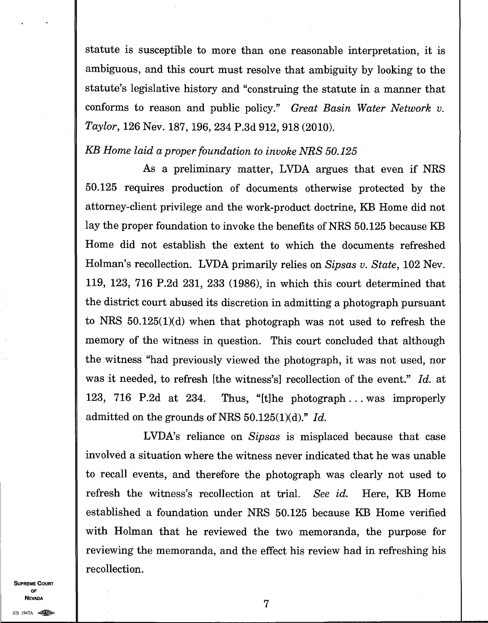statute is susceptible to more than one reasonable interpretation, it is ambiguous, and this court must resolve that ambiguity by looking to the statute's legislative history and "construing the statute in a manner that conforms to reason and public policy." *Great Basin Water Network v. Taylor,* 126 Nev. 187, 196, 234 P.3d 912, 918 (2010).

## *KB Home laid a proper foundation to invoke NRS 50.125*

As a preliminary matter, INDA argues that even if NRS 50.125 requires production of documents otherwise protected by the attorney-client privilege and the work-product doctrine, KB Home did not lay the proper foundation to invoke the benefits of NRS 50.125 because KB Home did not establish the extent to which the documents refreshed Holman's recollection. LVDA primarily relies on *Sipsas v. State,* 102 Nev. 119, 123, 716 P.2d 231, 233 (1986), in which this court determined that the district court abused its discretion in admitting a photograph pursuant to NRS 50.125(1)(d) when that photograph was not used to refresh the memory of the witness in question. This court concluded that although the witness "had previously viewed the photograph, it was not used, nor was it needed, to refresh [the witness's] recollection of the event." *Id.* at 123, 716 P.2d at 234. Thus, "[t]he photograph ... was improperly admitted on the grounds of NRS 50.125(1)(d)." *Id.* 

LVDA's reliance on *Sipsas* is misplaced because that case involved a situation where the witness never indicated that he was unable to recall events, and therefore the photograph was clearly not used to refresh the witness's recollection at trial. *See id.* Here, KB Home established a foundation under NRS 50.125 because KB Home verified with Holman that he reviewed the two memoranda, the purpose for reviewing the memoranda, and the effect his review had in refreshing his recollection.

**SUPREME COURT OF NEVADA**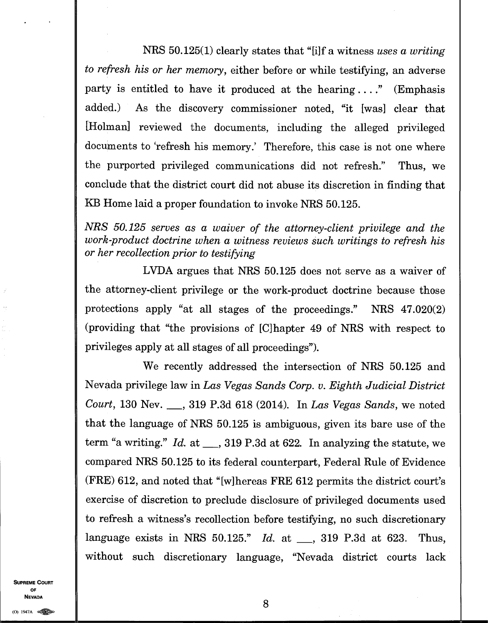**NRS** 50.125(1) clearly states that "[i]f a witness *uses a writing to refresh his or her memory,* either before or while testifying, an adverse party is entitled to have it produced at the hearing  $\dots$ ." (Emphasis added.) As the discovery commissioner noted, "it [was] clear that [Holman] reviewed the documents, including the alleged privileged documents to 'refresh his memory.' Therefore, this case is not one where the purported privileged communications did not refresh." Thus, we conclude that the district court did not **abuse its discretion in finding that KB Home laid a proper foundation to invoke NRS 50.125.** 

*NRS 50.125 serves as a waiver of the attorney-client privilege and the work-product doctrine when a witness reviews such writings to refresh his or her recollection prior to testifying* 

**LVDA** argues that NRS 50.125 does not serve as a waiver of the attorney-client privilege or the work-product doctrine because those protections apply "at all stages of the proceedings." NRS 47.020(2) (providing that "the provisions of [C]hapter 49 of NRS with respect to privileges apply at all stages of all proceedings").

We recently addressed the intersection of NRS 50.125 and Nevada privilege law in *Las Vegas Sands Corp. v. Eighth Judicial District Court,* **130 Nev. , 319 P.3d 618 (2014). In** *Las Vegas Sands,* we noted that the language of NRS 50.125 is ambiguous, given its bare use of the term "a writing." *Id.* at \_\_, 319 P.3d at 622. In analyzing the statute, we compared NRS 50.125 to its federal counterpart, Federal Rule of Evidence (FRE) 612, and noted that "[w]hereas FRE 612 permits the district court's exercise of discretion to preclude disclosure of privileged documents used to refresh a witness's recollection before testifying, no such discretionary language exists in NRS 50.125." *Id.* at \_\_, 319 P.3d at 623. Thus, without such discretionary language, "Nevada district courts lack

**SUPREME COURT OF NEVADA**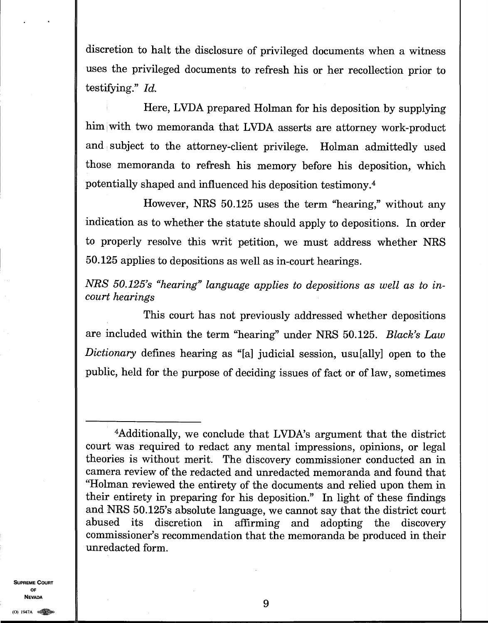discretion to halt the disclosure of privileged documents when a witness uses the privileged documents to refresh his or her recollection prior to testifying." *Id.* 

Here, LVDA prepared Holman for his deposition by supplying him with two memoranda that LVDA asserts are attorney work-product and subject to the attorney-client privilege. Holman admittedly used those memoranda to refresh his memory before his deposition, which potentially shaped and influenced his deposition testimony. <sup>4</sup>

However, NRS 50.125 uses the term "hearing," without any indication as to whether the statute should apply to depositions. In order to properly resolve this writ petition, we must address whether NRS 50.125 applies to depositions as well as in-court hearings.

*NRS 50.125's "hearing" language applies to depositions as well as to incourt hearings* 

This court has not previously addressed whether depositions are included within the term "hearing" under NRS 50.125. *Black's Law Dictionary* defines hearing as "[a] judicial session, usu[ally] open to the public, held for the purpose of deciding issues of fact or of law, sometimes

**SUPREME COURT OF NEVADA** 

9

<sup>4</sup>Additionally, we conclude that LVDA's argument that the district court was required to redact any mental impressions, opinions, or legal theories is without merit. The discovery commissioner conducted an in camera review of the redacted and unredacted memoranda and found that "Holman reviewed the entirety of the documents and relied upon them in their entirety in preparing for his deposition." In light of these findings and NRS 50.125's absolute language, we cannot say that the district court abused its discretion in affirming and adopting the discovery commissioner's recommendation that the memoranda be produced in their unredacted form.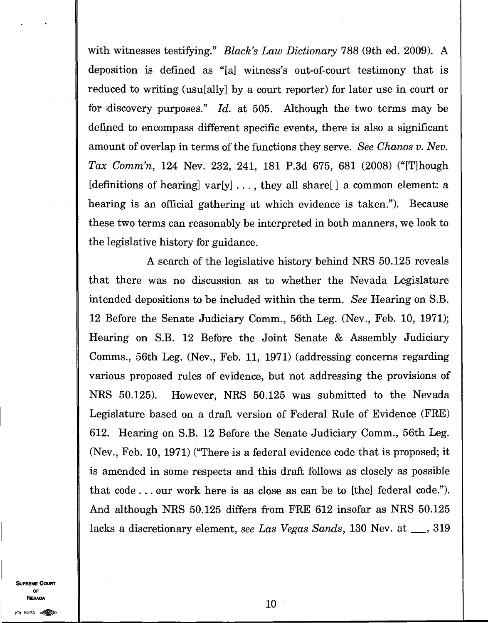with witnesses testifying." *Black's Law Dictionary* 788 (9th ed. 2009). A deposition is defined as "[a] witness's out-of-court testimony that is reduced to writing (usu[ally] by a court reporter) for later use in court or for 'discovery purposes." *Id.* at 505. Although the two terms may be defined to encompass different specific events, there is also a significant amount of overlap in terms of the functions they serve. *See Chanos v. Nev. Tax Comm'n,* 124 Nev. 232, 241, 181 P.3d 675, 681 (2008) ("[T]hough [definitions of hearing]  $var[y] \ldots$ , they all share[] a common element: a hearing is an official gathering at which evidence is taken."). Because these two terms can reasonably be interpreted in both manners, we look to the legislative history for guidance.

A search of the legislative history behind NRS 50.125 reveals that there was no discussion as to whether the Nevada Legislature intended depositions to be included within the term. *See* Hearing on S.B. 12 Before the Senate Judiciary Comm., 56th Leg. (Nev., Feb. 10, 1971); Hearing on S.B. 12 Before the Joint Senate & Assembly Judiciary Comms., 56th Leg. (Nev., Feb. 11, 1971) (addressing concerns regarding various proposed rules of evidence, but not addressing the provisions of NRS 50.125). However, NRS 50.125 was submitted to the Nevada Legislature based on a draft version of Federal Rule of Evidence (FRE) 612. Hearing on S.B. 12 Before the Senate Judiciary Comm., 56th Leg. (Nev., Feb. 10, 1971) ("There is a federal evidence code that is proposed; it is amended in some respects and this draft follows as closely as possible that code. . . our work here is as close as can be to [the] federal code."). And although NRS 50.125 differs from FRE 612 insofar as NRS 50.125 lacks a discretionary element, *see Las Vegas Sands*, 130 Nev. at <sub>1,</sub> 319

**SUPREME COURT** OF. **NEVADA**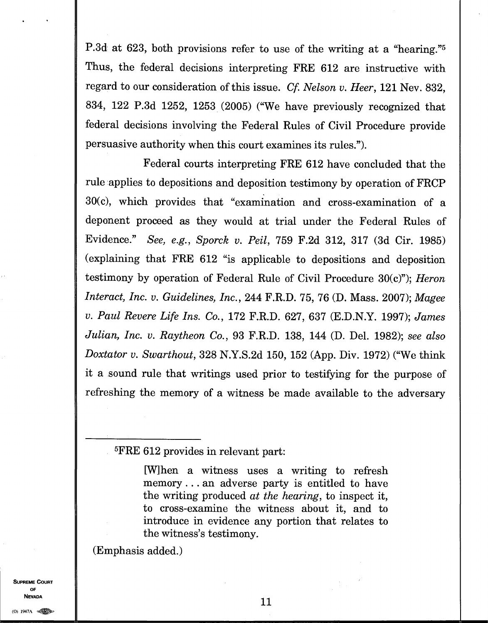P.3d at 623, both provisions refer to use of the writing at a "hearing."<sup>5</sup> Thus, the federal decisions interpreting FRE 612 are instructive with regard to our consideration of this issue. *Cf. Nelson v. Heer,* 121 Nev. 832, 834, 122 P.3d 1252, 1253 (2005) ("We have previously recognized that federal decisions involving the Federal Rules of Civil Procedure provide persuasive authority when this court examines its rules.").

Federal courts interpreting FRE 612 have concluded that the rule applies to depositions and deposition testimony by operation of FRCP 30(c), which provides that "examination and cross-examination of a deponent proceed as they would at trial under the Federal Rules of Evidence." *See, e.g., Sporck v. Peil,* 759 F.2d 312, 317 (3d Cir. 1985) (explaining that FRE 612 "is applicable to depositions and deposition testimony by operation of Federal Rule of Civil Procedure 30(c)"); *Heron Interact, Inc. v. Guidelines, Inc.,* 244 F.R.D. 75, 76 (D. Mass. 2007); *Magee v. Paul Revere Life Ins. Co.,* 172 F.R.D. 627, 637 (E.D.N.Y. 1997); *James Julian, Inc. v. Raytheon Co.,* 93 F.R.D. 138, 144 (D. Del. 1982); *see also Doxtator v. Swarthout,* 328 N.Y.S.2d 150, 152 (App. Div. 1972) ("We think it a sound rule that writings used prior to testifying for the purpose of refreshing the memory of a witness be made available to the adversary

#### <sup>5</sup>FRE 612 provides in relevant part:

[W]hen a witness uses a writing to refresh memory. . . an adverse party is entitled to have the writing produced *at the hearing,* to inspect it, to cross-examine the witness about it, and to introduce in evidence any portion that relates to the witness's testimony.

(Emphasis added.)

**SUPREME COURT OF**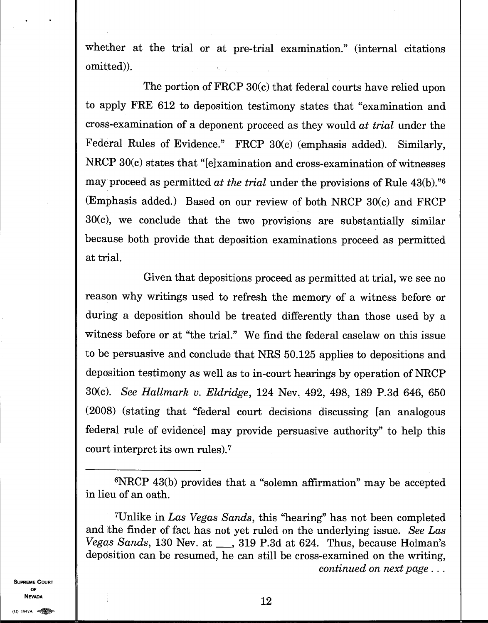whether at the trial or at pre-trial examination." (internal citations omitted)).

The portion of FRCP 30(c) that federal courts have relied upon to apply FRE 612 to deposition testimony states that "examination and cross-examination of a deponent proceed as they would *at trial* under the Federal Rules of Evidence." FRCP 30(c) (emphasis added). Similarly, NRCP  $30(c)$  states that "[e]xamination and cross-examination of witnesses may proceed as permitted *at the trial* under the provisions of Rule 43(b).<sup>76</sup> (Emphasis added.) Based on our review of both NRCP 30(c) and FRCP 30(c), we conclude that the two provisions are substantially similar because both provide that deposition examinations proceed as permitted at trial.

Given that depositions proceed as permitted at trial, we see no reason why writings used to refresh the memory of a witness before or during a deposition should be treated differently than those used by a witness before or at "the trial." We find the federal caselaw on this issue to be persuasive and conclude that NRS 50.125 applies to depositions and deposition testimony as well as to in-court hearings by operation of NRCP 30(c). *See Hallmark v. Eldridge,* 124 Nev. 492, 498, 189 P.3d 646, 650 (2008) (stating that "federal court decisions discussing [an analogous federal rule of evidence] may provide persuasive authority" to help this court interpret its own rules). <sup>7</sup>

**SUPREME COURT OF** 

<sup>6</sup>NRCP 43(b) provides that a "solemn affirmation" may be accepted in lieu of an oath.

<sup>7</sup>Unlike in *Las Vegas Sands,* this "hearing" has not been completed and the finder of fact has not yet ruled on the underlying issue. *See Las Vegas Sands*, 130 Nev. at <sub>1, 319</sub> P.3d at 624. Thus, because Holman's deposition can be resumed, he can still be cross-examined on the writing, *continued on next page . . .*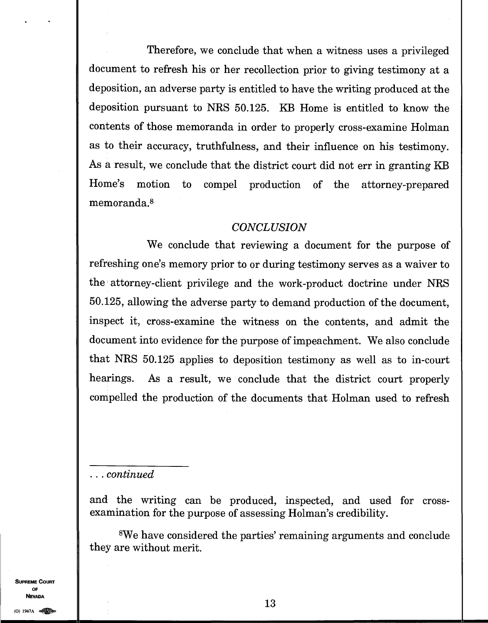Therefore, we conclude that when a witness uses a privileged document to refresh his or her recollection prior to giving testimony at a deposition, an adverse party is entitled to have the writing produced at the deposition pursuant to NRS 50.125. KB Home is entitled to know the contents of those memoranda in order to properly cross-examine Holman as to their accuracy, truthfulness, and their influence on his testimony. As a result, we conclude that the district court did not err in granting KB Home's motion to compel production of the attorney-prepared memoranda. <sup>8</sup>

#### *CONCLUSION*

We conclude that reviewing a document for the purpose of refreshing one's memory prior to or during testimony serves as a waiver to the attorney-client privilege and the work-product doctrine under NRS 50.125, allowing the adverse party to demand production of the document, inspect it, cross-examine the witness on the contents, and admit the document into evidence for the purpose of impeachment. We also conclude that NRS 50.125 applies to deposition testimony as well as to in-court hearings. As a result, we conclude that the district court properly compelled the production of the documents that Holman used to refresh

*. . . continued* 

and the writing can be produced, inspected, and used for crossexamination for the purpose of assessing Holman's credibility.

<sup>8</sup>We have considered the parties' remaining arguments and conclude they are without merit.

**SUPREME COURT OF NEVADA**